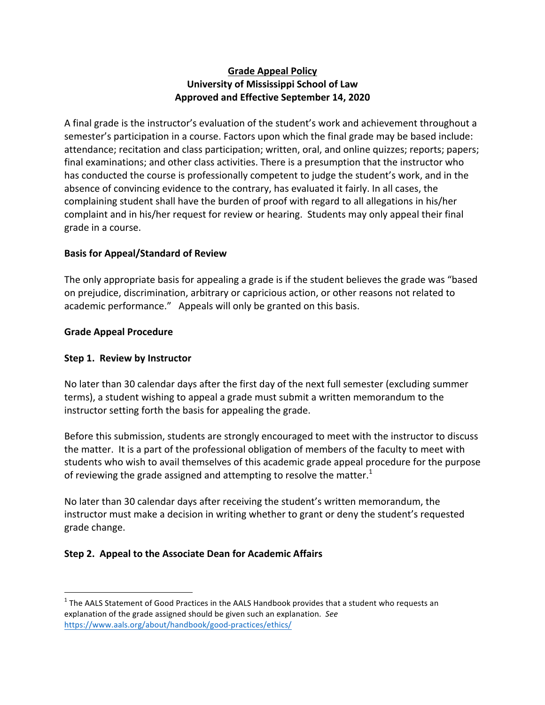### **Grade Appeal Policy University of Mississippi School of Law** Approved and Effective September 14, 2020

A final grade is the instructor's evaluation of the student's work and achievement throughout a semester's participation in a course. Factors upon which the final grade may be based include: attendance; recitation and class participation; written, oral, and online quizzes; reports; papers; final examinations; and other class activities. There is a presumption that the instructor who has conducted the course is professionally competent to judge the student's work, and in the absence of convincing evidence to the contrary, has evaluated it fairly. In all cases, the complaining student shall have the burden of proof with regard to all allegations in his/her complaint and in his/her request for review or hearing. Students may only appeal their final grade in a course.

# **Basis for Appeal/Standard of Review**

The only appropriate basis for appealing a grade is if the student believes the grade was "based on prejudice, discrimination, arbitrary or capricious action, or other reasons not related to academic performance." Appeals will only be granted on this basis.

#### **Grade Appeal Procedure**

### **Step 1. Review by Instructor**

No later than 30 calendar days after the first day of the next full semester (excluding summer terms), a student wishing to appeal a grade must submit a written memorandum to the instructor setting forth the basis for appealing the grade.

Before this submission, students are strongly encouraged to meet with the instructor to discuss the matter. It is a part of the professional obligation of members of the faculty to meet with students who wish to avail themselves of this academic grade appeal procedure for the purpose of reviewing the grade assigned and attempting to resolve the matter. $1$ 

No later than 30 calendar days after receiving the student's written memorandum, the instructor must make a decision in writing whether to grant or deny the student's requested grade change.

# **Step 2. Appeal to the Associate Dean for Academic Affairs**

 $1$  The AALS Statement of Good Practices in the AALS Handbook provides that a student who requests an explanation of the grade assigned should be given such an explanation. See https://www.aals.org/about/handbook/good-practices/ethics/